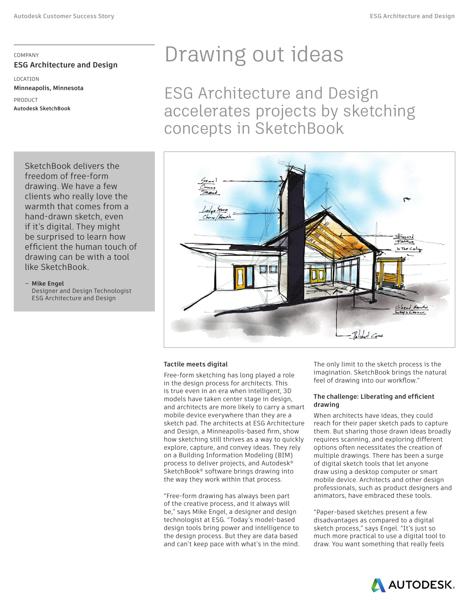## COMPANY **ESG Architecture and Design**

LOCATION **Minneapolis, Minnesota**

PRODUCT **Autodesk SketchBook**

> SketchBook delivers the freedom of free-form drawing. We have a few clients who really love the warmth that comes from a hand-drawn sketch, even if it's digital. They might be surprised to learn how efficient the human touch of drawing can be with a tool like SketchBook.

#### — **Mike Engel** Designer and Design Technologist ESG Architecture and Design

# Drawing out ideas

ESG Architecture and Design accelerates projects by sketching concepts in SketchBook



### **Tactile meets digital**

Free-form sketching has long played a role in the design process for architects. This is true even in an era when intelligent, 3D models have taken center stage in design, and architects are more likely to carry a smart mobile device everywhere than they are a sketch pad. The architects at ESG Architecture and Design, a Minneapolis-based firm, show how sketching still thrives as a way to quickly explore, capture, and convey ideas. They rely on a Building Information Modeling (BIM) process to deliver projects, and Autodesk® SketchBook® software brings drawing into the way they work within that process.

"Free-form drawing has always been part of the creative process, and it always will be," says Mike Engel, a designer and design technologist at ESG. "Today's model-based design tools bring power and intelligence to the design process. But they are data based and can't keep pace with what's in the mind. The only limit to the sketch process is the imagination. SketchBook brings the natural feel of drawing into our workflow."

### **The challenge: Liberating and efficient drawing**

When architects have ideas, they could reach for their paper sketch pads to capture them. But sharing those drawn ideas broadly requires scanning, and exploring different options often necessitates the creation of multiple drawings. There has been a surge of digital sketch tools that let anyone draw using a desktop computer or smart mobile device. Architects and other design professionals, such as product designers and animators, have embraced these tools.

"Paper-based sketches present a few disadvantages as compared to a digital sketch process," says Engel. "It's just so much more practical to use a digital tool to draw. You want something that really feels